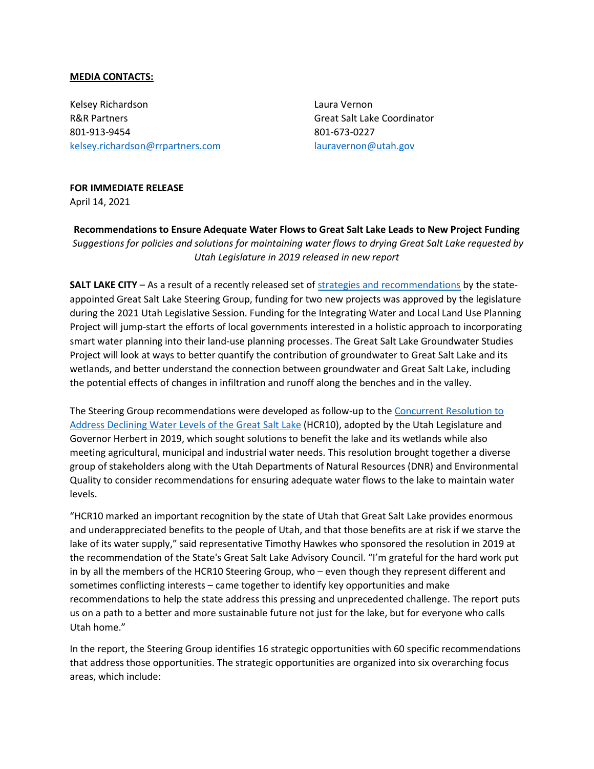## **MEDIA CONTACTS:**

Kelsey Richardson R&R Partners 801-913-9454 [kelsey.richardson@rrpartners.com](mailto:kelsey.richardson@rrpartners.com) Laura Vernon Great Salt Lake Coordinator 801-673-0227 [lauravernon@utah.gov](mailto:lauravernon@utah.gov)

## **FOR IMMEDIATE RELEASE**

April 14, 2021

**Recommendations to Ensure Adequate Water Flows to Great Salt Lake Leads to New Project Funding** *Suggestions for policies and solutions for maintaining water flows to drying Great Salt Lake requested by Utah Legislature in 2019 released in new report*

**SALT LAKE CITY** – As a result of a recently released set o[f strategies and recommendations](https://ffsl.utah.gov/wp-content/uploads/GSL_HCR10Report_final_Dec2020b.pdf) by the stateappointed Great Salt Lake Steering Group, funding for two new projects was approved by the legislature during the 2021 Utah Legislative Session. Funding for the Integrating Water and Local Land Use Planning Project will jump-start the efforts of local governments interested in a holistic approach to incorporating smart water planning into their land-use planning processes. The Great Salt Lake Groundwater Studies Project will look at ways to better quantify the contribution of groundwater to Great Salt Lake and its wetlands, and better understand the connection between groundwater and Great Salt Lake, including the potential effects of changes in infiltration and runoff along the benches and in the valley.

The Steering Group recommendations were developed as follow-up to the [Concurrent Resolution to](https://le.utah.gov/%7E2019/bills/static/HCR010.html)  [Address Declining Water Levels of the Great Salt Lake](https://le.utah.gov/%7E2019/bills/static/HCR010.html) (HCR10), adopted by the Utah Legislature and Governor Herbert in 2019, which sought solutions to benefit the lake and its wetlands while also meeting agricultural, municipal and industrial water needs. This resolution brought together a diverse group of stakeholders along with the Utah Departments of Natural Resources (DNR) and Environmental Quality to consider recommendations for ensuring adequate water flows to the lake to maintain water levels.

"HCR10 marked an important recognition by the state of Utah that Great Salt Lake provides enormous and underappreciated benefits to the people of Utah, and that those benefits are at risk if we starve the lake of its water supply," said representative Timothy Hawkes who sponsored the resolution in 2019 at the recommendation of the State's Great Salt Lake Advisory Council. "I'm grateful for the hard work put in by all the members of the HCR10 Steering Group, who – even though they represent different and sometimes conflicting interests – came together to identify key opportunities and make recommendations to help the state address this pressing and unprecedented challenge. The report puts us on a path to a better and more sustainable future not just for the lake, but for everyone who calls Utah home."

In the report, the Steering Group identifies 16 strategic opportunities with 60 specific recommendations that address those opportunities. The strategic opportunities are organized into six overarching focus areas, which include: